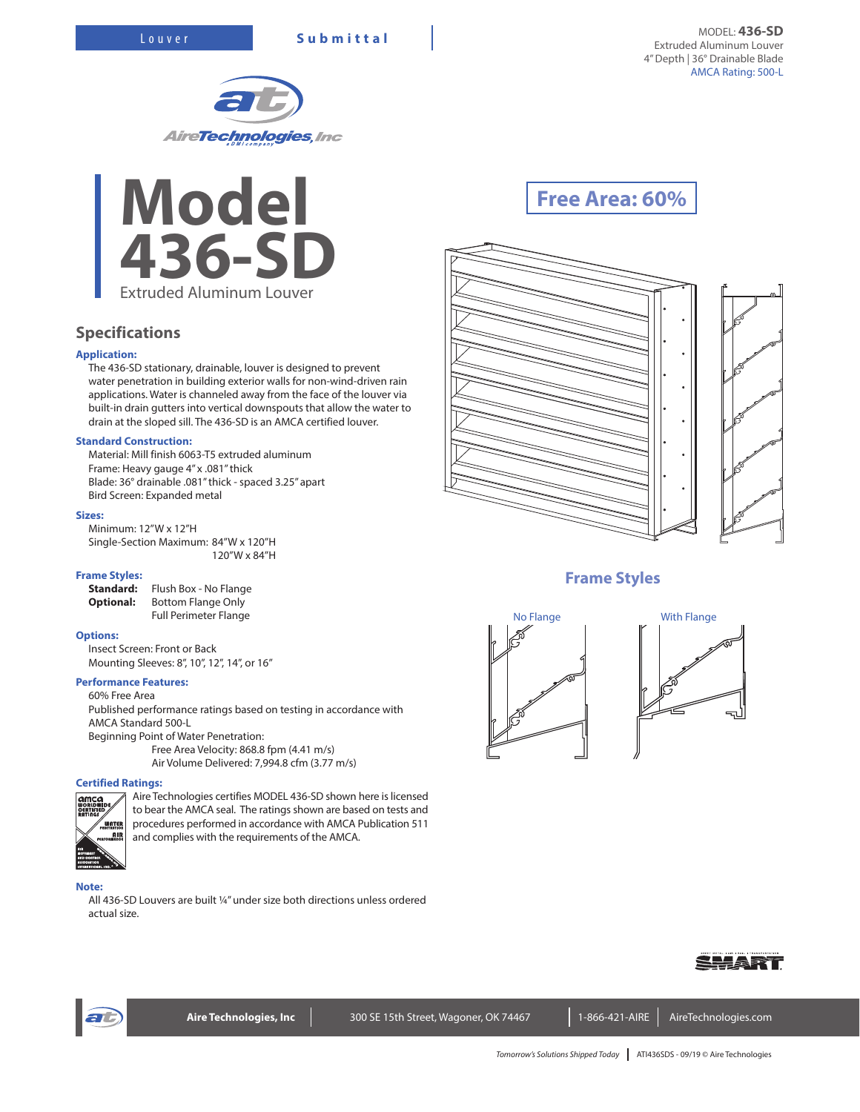



## **Specifications**

### **Application:**

The 436-SD stationary, drainable, louver is designed to prevent water penetration in building exterior walls for non-wind-driven rain applications. Water is channeled away from the face of the louver via built-in drain gutters into vertical downspouts that allow the water to drain at the sloped sill. The 436-SD is an AMCA certified louver.

#### **Standard Construction:**

Material: Mill finish 6063-T5 extruded aluminum Frame: Heavy gauge 4" x .081" thick Blade: 36° drainable .081" thick - spaced 3.25" apart Bird Screen: Expanded metal

#### **Sizes:**

Minimum: 12"W x 12"H Single-Section Maximum: 84"W x 120"H 120"W x 84"H

#### **Frame Styles:**

**Standard:** Flush Box - No Flange **Optional:** Bottom Flange Only Full Perimeter Flange

#### **Options:**

Insect Screen: Front or Back Mounting Sleeves: 8", 10", 12", 14", or 16"

#### **Performance Features:**

60% Free Area Published performance ratings based on testing in accordance with AMCA Standard 500-L Beginning Point of Water Penetration: Free Area Velocity: 868.8 fpm (4.41 m/s) Air Volume Delivered: 7,994.8 cfm (3.77 m/s)

#### **Certified Ratings:**



Aire Technologies certifies MODEL 436-SD shown here is licensed to bear the AMCA seal. The ratings shown are based on tests and procedures performed in accordance with AMCA Publication 511 and complies with the requirements of the AMCA.

#### **Note:**

All 436-SD Louvers are built ¼" under size both directions unless ordered actual size.

# **Free Area: 60%**



## **Frame Styles**





ᅯ



Aire Technologies, Inc **Neta 300 SE 15th Street, Wagoner, OK 74467** 1-866-421-AIRE AireTechnologies.com